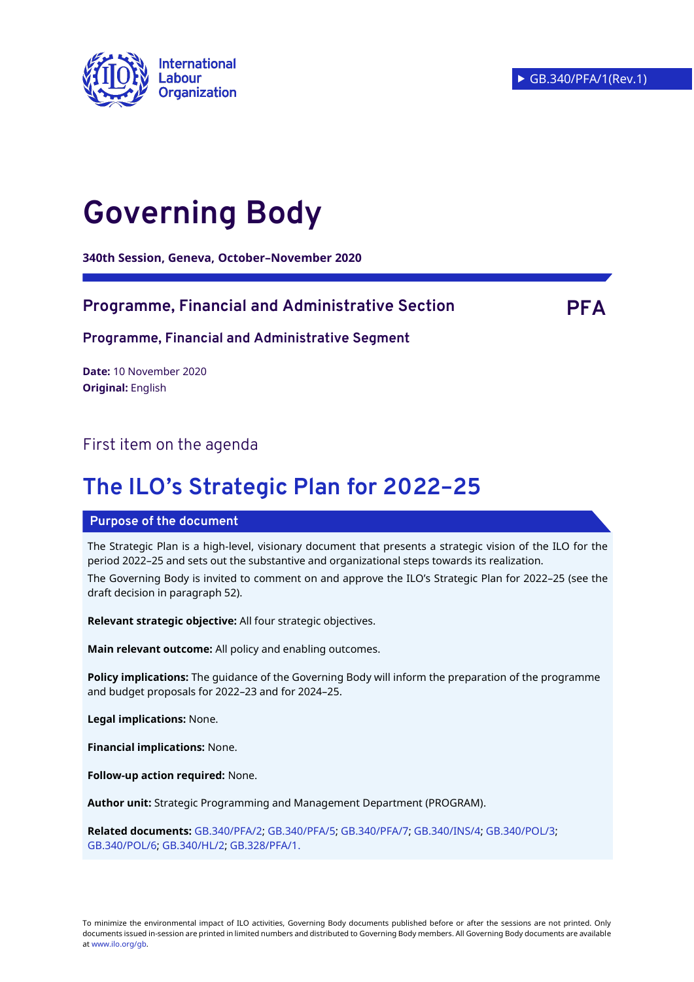

# **Governing Body**

**340th Session, Geneva, October–November 2020**

#### **Programme, Financial and Administrative Section PFA**

**Programme, Financial and Administrative Segment**

**Date:** 10 November 2020 **Original:** English

### First item on the agenda

## **The ILO's Strategic Plan for 2022–25**

#### **Purpose of the document**

The Strategic Plan is a high-level, visionary document that presents a strategic vision of the ILO for the period 2022–25 and sets out the substantive and organizational steps towards its realization.

The Governing Body is invited to comment on and approve the ILO's Strategic Plan for 2022–25 (see the draft decision in paragraph 52).

**Relevant strategic objective:** All four strategic objectives.

**Main relevant outcome:** All policy and enabling outcomes.

**Policy implications:** The guidance of the Governing Body will inform the preparation of the programme and budget proposals for 2022–23 and for 2024–25.

**Legal implications:** None.

**Financial implications:** None.

**Follow-up action required:** None.

**Author unit:** Strategic Programming and Management Department (PROGRAM).

**Related documents:** [GB.340/PFA/2;](https://www.ilo.org/wcmsp5/groups/public/---ed_norm/---relconf/documents/meetingdocument/wcms_757879.pdf) [GB.340/PFA/5;](https://www.ilo.org/wcmsp5/groups/public/---ed_norm/---relconf/documents/meetingdocument/wcms_755806.pdf) [GB.340/PFA/7;](https://www.ilo.org/wcmsp5/groups/public/---ed_norm/---relconf/documents/meetingdocument/wcms_757047.pdf) [GB.340/INS/4;](https://www.ilo.org/wcmsp5/groups/public/---ed_norm/---relconf/documents/meetingdocument/wcms_757052.pdf) [GB.340/POL/3;](https://www.ilo.org/wcmsp5/groups/public/---ed_norm/---relconf/documents/meetingdocument/wcms_757884.pdf) [GB.340/POL/6;](https://www.ilo.org/wcmsp5/groups/public/---ed_norm/---relconf/documents/meetingdocument/wcms_757878.pdf) [GB.340/HL/2;](https://www.ilo.org/wcmsp5/groups/public/---ed_norm/---relconf/documents/meetingdocument/wcms_757877.pdf) [GB.328/PFA/1.](https://www.ilo.org/wcmsp5/groups/public/---ed_norm/---relconf/documents/meetingdocument/wcms_531677.pdf)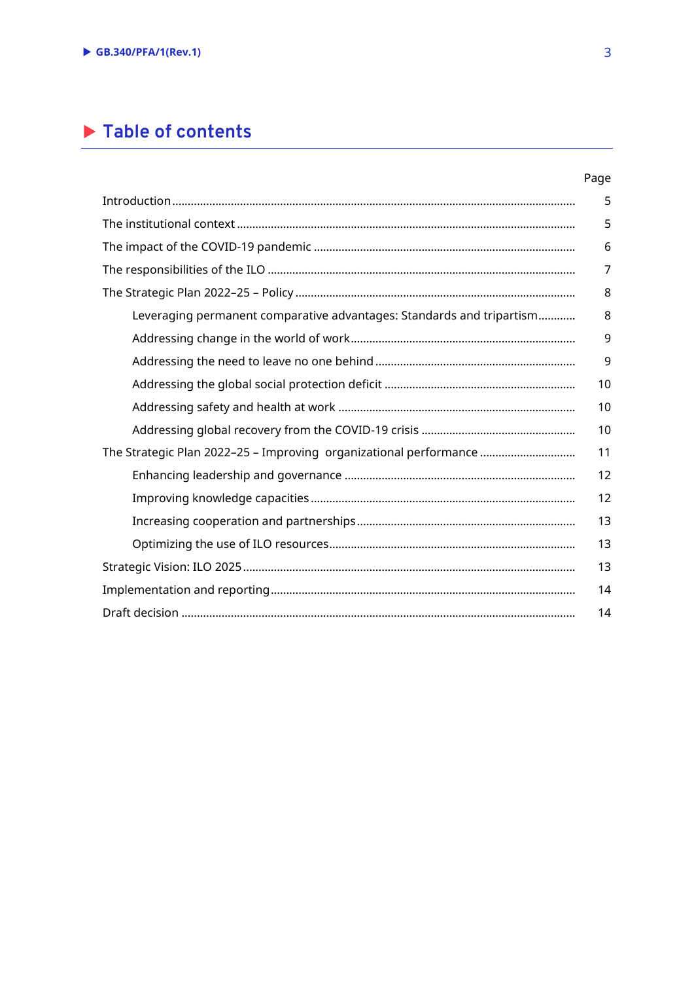## **Table of contents**

#### Page

|                                                                       | 5  |
|-----------------------------------------------------------------------|----|
|                                                                       | 5  |
|                                                                       | 6  |
|                                                                       | 7  |
|                                                                       | 8  |
| Leveraging permanent comparative advantages: Standards and tripartism | 8  |
|                                                                       | 9  |
|                                                                       | 9  |
|                                                                       | 10 |
|                                                                       | 10 |
|                                                                       | 10 |
| The Strategic Plan 2022-25 - Improving organizational performance     | 11 |
|                                                                       | 12 |
|                                                                       | 12 |
|                                                                       | 13 |
|                                                                       | 13 |
|                                                                       | 13 |
|                                                                       | 14 |
|                                                                       | 14 |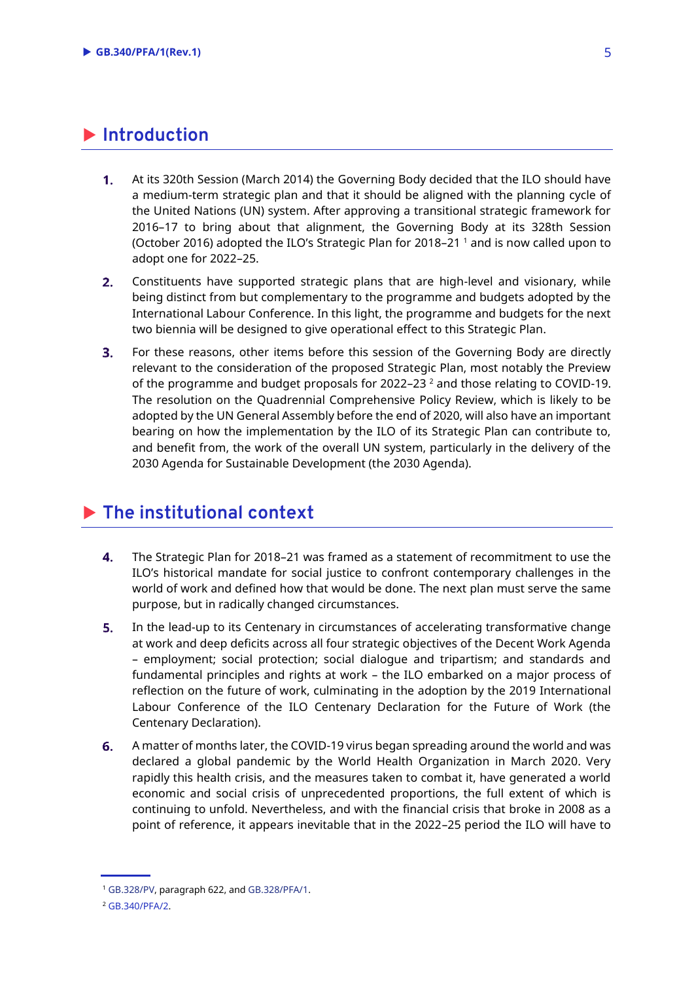### <span id="page-2-0"></span>**Introduction**

- $1<sub>1</sub>$ At its 320th Session (March 2014) the Governing Body decided that the ILO should have a medium-term strategic plan and that it should be aligned with the planning cycle of the United Nations (UN) system. After approving a transitional strategic framework for 2016–17 to bring about that alignment, the Governing Body at its 328th Session (October 2016) adopted the ILO's Strategic Plan for 2018–21 <sup>1</sup> and is now called upon to adopt one for 2022–25.
- $2.$ Constituents have supported strategic plans that are high-level and visionary, while being distinct from but complementary to the programme and budgets adopted by the International Labour Conference. In this light, the programme and budgets for the next two biennia will be designed to give operational effect to this Strategic Plan.
- $3<sub>1</sub>$ For these reasons, other items before this session of the Governing Body are directly relevant to the consideration of the proposed Strategic Plan, most notably the Preview of the programme and budget proposals for 2022–23 $^2$  and those relating to COVID-19. The resolution on the Quadrennial Comprehensive Policy Review, which is likely to be adopted by the UN General Assembly before the end of 2020, will also have an important bearing on how the implementation by the ILO of its Strategic Plan can contribute to, and benefit from, the work of the overall UN system, particularly in the delivery of the 2030 Agenda for Sustainable Development (the 2030 Agenda).

## <span id="page-2-1"></span>**The institutional context**

- $4.$ The Strategic Plan for 2018–21 was framed as a statement of recommitment to use the ILO's historical mandate for social justice to confront contemporary challenges in the world of work and defined how that would be done. The next plan must serve the same purpose, but in radically changed circumstances.
- $5.$ In the lead-up to its Centenary in circumstances of accelerating transformative change at work and deep deficits across all four strategic objectives of the Decent Work Agenda – employment; social protection; social dialogue and tripartism; and standards and fundamental principles and rights at work – the ILO embarked on a major process of reflection on the future of work, culminating in the adoption by the 2019 International Labour Conference of the ILO Centenary Declaration for the Future of Work (the Centenary Declaration).
- 6. A matter of months later, the COVID-19 virus began spreading around the world and was declared a global pandemic by the World Health Organization in March 2020. Very rapidly this health crisis, and the measures taken to combat it, have generated a world economic and social crisis of unprecedented proportions, the full extent of which is continuing to unfold. Nevertheless, and with the financial crisis that broke in 2008 as a point of reference, it appears inevitable that in the 2022–25 period the ILO will have to

<sup>1</sup> [GB.328/PV,](https://www.ilo.org/wcmsp5/groups/public/---ed_norm/---relconf/documents/meetingdocument/wcms_543114.pdf) paragraph 622, and [GB.328/PFA/1.](https://www.ilo.org/wcmsp5/groups/public/---ed_norm/---relconf/documents/meetingdocument/wcms_531677.pdf)

<sup>2</sup> [GB.340/PFA/2.](https://www.ilo.org/wcmsp5/groups/public/---ed_norm/---relconf/documents/meetingdocument/wcms_757879.pdf)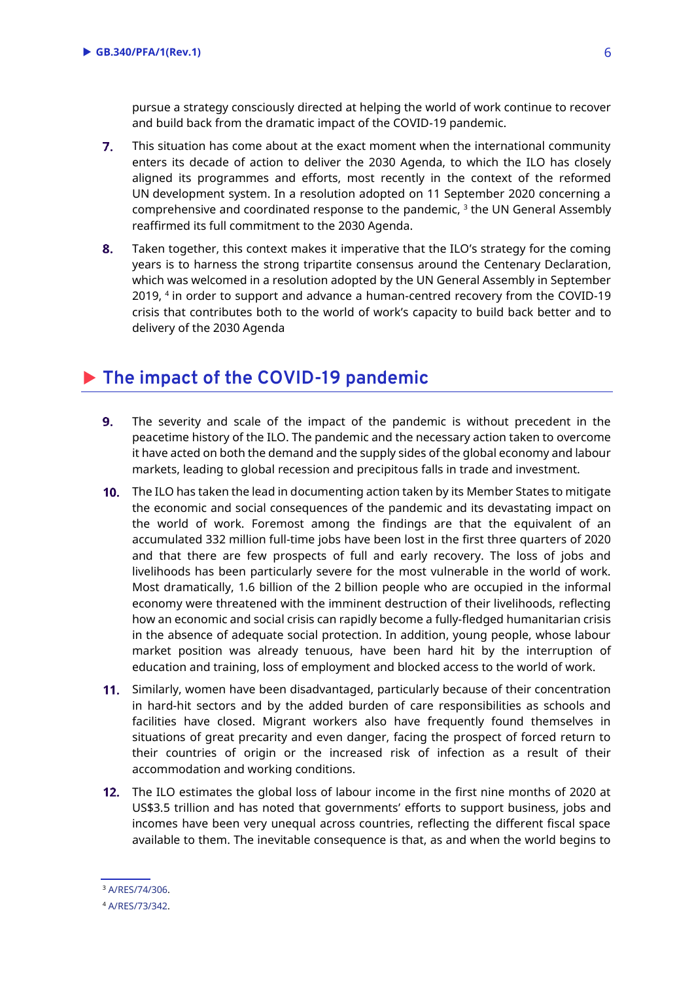pursue a strategy consciously directed at helping the world of work continue to recover and build back from the dramatic impact of the COVID-19 pandemic.

- $7.$ This situation has come about at the exact moment when the international community enters its decade of action to deliver the 2030 Agenda, to which the ILO has closely aligned its programmes and efforts, most recently in the context of the reformed UN development system. In a resolution adopted on 11 September 2020 concerning a comprehensive and coordinated response to the pandemic,  $^3$  the UN General Assembly reaffirmed its full commitment to the 2030 Agenda.
- 8. Taken together, this context makes it imperative that the ILO's strategy for the coming years is to harness the strong tripartite consensus around the Centenary Declaration, which was welcomed in a resolution adopted by the UN General Assembly in September 2019, <sup>4</sup> in order to support and advance a human-centred recovery from the COVID-19 crisis that contributes both to the world of work's capacity to build back better and to delivery of the 2030 Agenda

## <span id="page-3-0"></span>**The impact of the COVID-19 pandemic**

- $9<sub>1</sub>$ The severity and scale of the impact of the pandemic is without precedent in the peacetime history of the ILO. The pandemic and the necessary action taken to overcome it have acted on both the demand and the supply sides of the global economy and labour markets, leading to global recession and precipitous falls in trade and investment.
- 10. The ILO has taken the lead in documenting action taken by its Member States to mitigate the economic and social consequences of the pandemic and its devastating impact on the world of work. Foremost among the findings are that the equivalent of an accumulated 332 million full-time jobs have been lost in the first three quarters of 2020 and that there are few prospects of full and early recovery. The loss of jobs and livelihoods has been particularly severe for the most vulnerable in the world of work. Most dramatically, 1.6 billion of the 2 billion people who are occupied in the informal economy were threatened with the imminent destruction of their livelihoods, reflecting how an economic and social crisis can rapidly become a fully-fledged humanitarian crisis in the absence of adequate social protection. In addition, young people, whose labour market position was already tenuous, have been hard hit by the interruption of education and training, loss of employment and blocked access to the world of work.
- 11. Similarly, women have been disadvantaged, particularly because of their concentration in hard-hit sectors and by the added burden of care responsibilities as schools and facilities have closed. Migrant workers also have frequently found themselves in situations of great precarity and even danger, facing the prospect of forced return to their countries of origin or the increased risk of infection as a result of their accommodation and working conditions.
- 12. The ILO estimates the global loss of labour income in the first nine months of 2020 at US\$3.5 trillion and has noted that governments' efforts to support business, jobs and incomes have been very unequal across countries, reflecting the different fiscal space available to them. The inevitable consequence is that, as and when the world begins to

<sup>3</sup> [A/RES/74/306.](https://undocs.org/en/A/RES/74/306)

<sup>4</sup> [A/RES/73/342.](https://undocs.org/en/A/RES/73/342)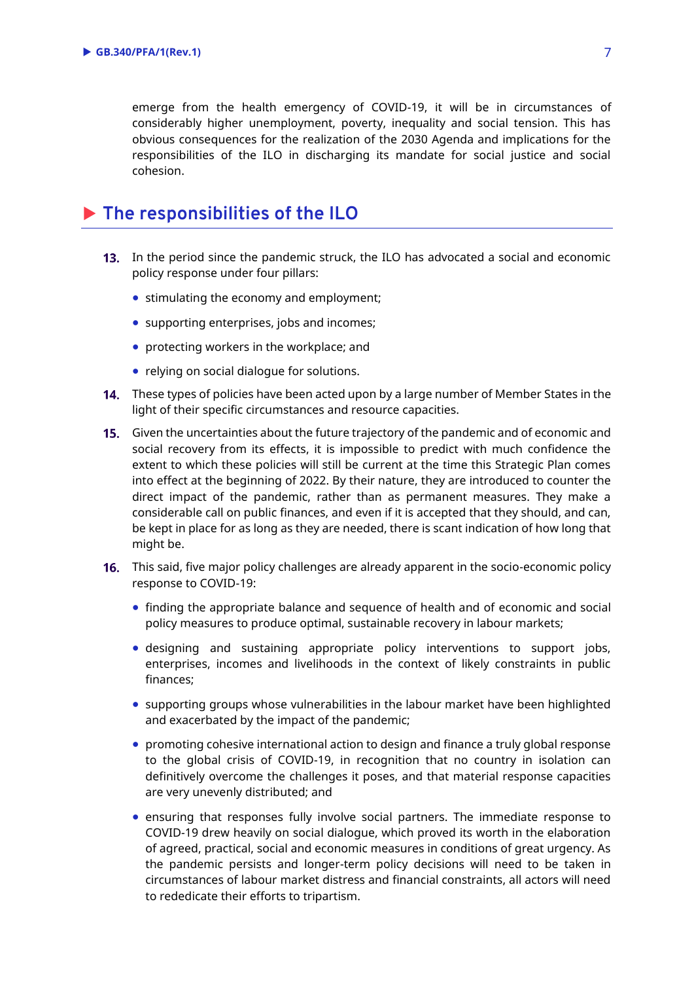emerge from the health emergency of COVID-19, it will be in circumstances of considerably higher unemployment, poverty, inequality and social tension. This has obvious consequences for the realization of the 2030 Agenda and implications for the responsibilities of the ILO in discharging its mandate for social justice and social cohesion.

## <span id="page-4-0"></span>**The responsibilities of the ILO**

- **13.** In the period since the pandemic struck, the ILO has advocated a social and economic policy response under four pillars:
	- stimulating the economy and employment;
	- supporting enterprises, jobs and incomes;
	- protecting workers in the workplace; and
	- relying on social dialogue for solutions.
- 14. These types of policies have been acted upon by a large number of Member States in the light of their specific circumstances and resource capacities.
- **15.** Given the uncertainties about the future trajectory of the pandemic and of economic and social recovery from its effects, it is impossible to predict with much confidence the extent to which these policies will still be current at the time this Strategic Plan comes into effect at the beginning of 2022. By their nature, they are introduced to counter the direct impact of the pandemic, rather than as permanent measures. They make a considerable call on public finances, and even if it is accepted that they should, and can, be kept in place for as long as they are needed, there is scant indication of how long that might be.
- 16. This said, five major policy challenges are already apparent in the socio-economic policy response to COVID-19:
	- finding the appropriate balance and sequence of health and of economic and social policy measures to produce optimal, sustainable recovery in labour markets;
	- designing and sustaining appropriate policy interventions to support jobs, enterprises, incomes and livelihoods in the context of likely constraints in public finances;
	- supporting groups whose vulnerabilities in the labour market have been highlighted and exacerbated by the impact of the pandemic;
	- promoting cohesive international action to design and finance a truly global response to the global crisis of COVID-19, in recognition that no country in isolation can definitively overcome the challenges it poses, and that material response capacities are very unevenly distributed; and
	- ensuring that responses fully involve social partners. The immediate response to COVID-19 drew heavily on social dialogue, which proved its worth in the elaboration of agreed, practical, social and economic measures in conditions of great urgency. As the pandemic persists and longer-term policy decisions will need to be taken in circumstances of labour market distress and financial constraints, all actors will need to rededicate their efforts to tripartism.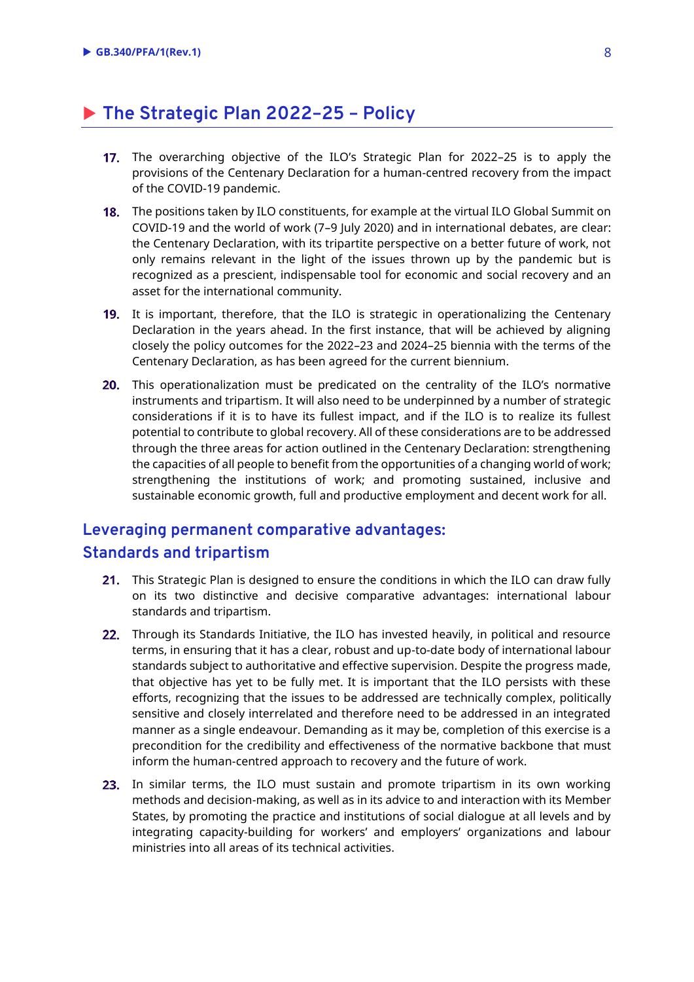## <span id="page-5-0"></span>**The Strategic Plan 2022–25 – Policy**

- The overarching objective of the ILO's Strategic Plan for 2022–25 is to apply the provisions of the Centenary Declaration for a human-centred recovery from the impact of the COVID-19 pandemic.
- **18.** The positions taken by ILO constituents, for example at the virtual ILO Global Summit on COVID-19 and the world of work (7–9 July 2020) and in international debates, are clear: the Centenary Declaration, with its tripartite perspective on a better future of work, not only remains relevant in the light of the issues thrown up by the pandemic but is recognized as a prescient, indispensable tool for economic and social recovery and an asset for the international community.
- 19. It is important, therefore, that the ILO is strategic in operationalizing the Centenary Declaration in the years ahead. In the first instance, that will be achieved by aligning closely the policy outcomes for the 2022–23 and 2024–25 biennia with the terms of the Centenary Declaration, as has been agreed for the current biennium.
- 20. This operationalization must be predicated on the centrality of the ILO's normative instruments and tripartism. It will also need to be underpinned by a number of strategic considerations if it is to have its fullest impact, and if the ILO is to realize its fullest potential to contribute to global recovery. All of these considerations are to be addressed through the three areas for action outlined in the Centenary Declaration: strengthening the capacities of all people to benefit from the opportunities of a changing world of work; strengthening the institutions of work; and promoting sustained, inclusive and sustainable economic growth, full and productive employment and decent work for all.

### <span id="page-5-1"></span>**Leveraging permanent comparative advantages: Standards and tripartism**

- 21. This Strategic Plan is designed to ensure the conditions in which the ILO can draw fully on its two distinctive and decisive comparative advantages: international labour standards and tripartism.
- 22. Through its Standards Initiative, the ILO has invested heavily, in political and resource terms, in ensuring that it has a clear, robust and up-to-date body of international labour standards subject to authoritative and effective supervision. Despite the progress made, that objective has yet to be fully met. It is important that the ILO persists with these efforts, recognizing that the issues to be addressed are technically complex, politically sensitive and closely interrelated and therefore need to be addressed in an integrated manner as a single endeavour. Demanding as it may be, completion of this exercise is a precondition for the credibility and effectiveness of the normative backbone that must inform the human-centred approach to recovery and the future of work.
- 23. In similar terms, the ILO must sustain and promote tripartism in its own working methods and decision-making, as well as in its advice to and interaction with its Member States, by promoting the practice and institutions of social dialogue at all levels and by integrating capacity-building for workers' and employers' organizations and labour ministries into all areas of its technical activities.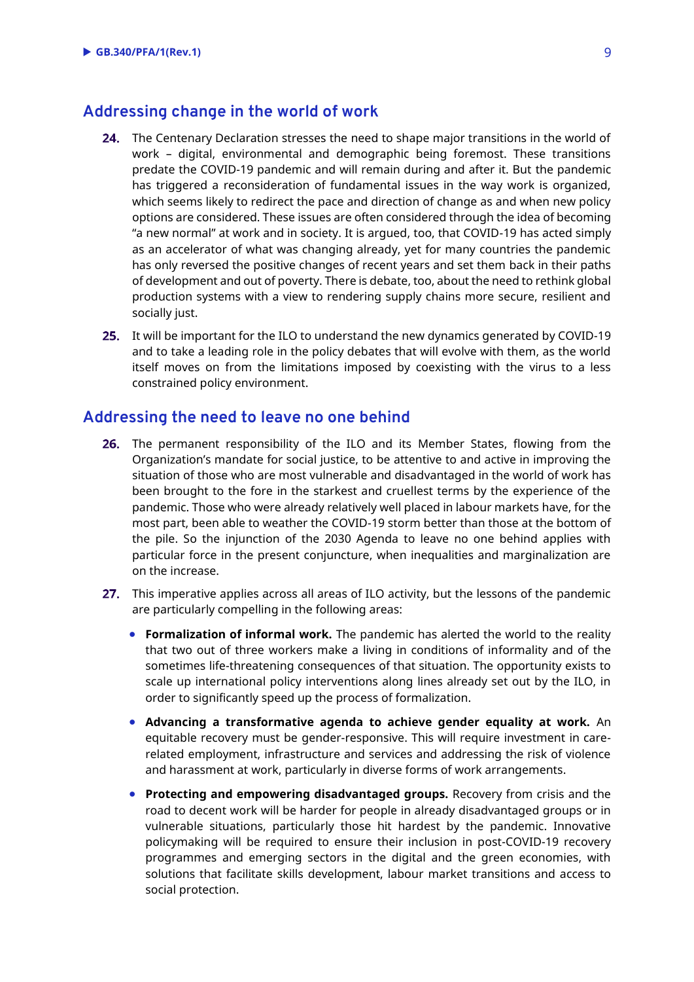#### <span id="page-6-0"></span>**Addressing change in the world of work**

- 24. The Centenary Declaration stresses the need to shape major transitions in the world of work – digital, environmental and demographic being foremost. These transitions predate the COVID-19 pandemic and will remain during and after it. But the pandemic has triggered a reconsideration of fundamental issues in the way work is organized, which seems likely to redirect the pace and direction of change as and when new policy options are considered. These issues are often considered through the idea of becoming "a new normal" at work and in society. It is argued, too, that COVID-19 has acted simply as an accelerator of what was changing already, yet for many countries the pandemic has only reversed the positive changes of recent years and set them back in their paths of development and out of poverty. There is debate, too, about the need to rethink global production systems with a view to rendering supply chains more secure, resilient and socially just.
- 25. It will be important for the ILO to understand the new dynamics generated by COVID-19 and to take a leading role in the policy debates that will evolve with them, as the world itself moves on from the limitations imposed by coexisting with the virus to a less constrained policy environment.

#### <span id="page-6-1"></span>**Addressing the need to leave no one behind**

- 26. The permanent responsibility of the ILO and its Member States, flowing from the Organization's mandate for social justice, to be attentive to and active in improving the situation of those who are most vulnerable and disadvantaged in the world of work has been brought to the fore in the starkest and cruellest terms by the experience of the pandemic. Those who were already relatively well placed in labour markets have, for the most part, been able to weather the COVID-19 storm better than those at the bottom of the pile. So the injunction of the 2030 Agenda to leave no one behind applies with particular force in the present conjuncture, when inequalities and marginalization are on the increase.
- 27. This imperative applies across all areas of ILO activity, but the lessons of the pandemic are particularly compelling in the following areas:
	- **Formalization of informal work.** The pandemic has alerted the world to the reality that two out of three workers make a living in conditions of informality and of the sometimes life-threatening consequences of that situation. The opportunity exists to scale up international policy interventions along lines already set out by the ILO, in order to significantly speed up the process of formalization.
	- **Advancing a transformative agenda to achieve gender equality at work.** An equitable recovery must be gender-responsive. This will require investment in carerelated employment, infrastructure and services and addressing the risk of violence and harassment at work, particularly in diverse forms of work arrangements.
	- **Protecting and empowering disadvantaged groups.** Recovery from crisis and the road to decent work will be harder for people in already disadvantaged groups or in vulnerable situations, particularly those hit hardest by the pandemic. Innovative policymaking will be required to ensure their inclusion in post-COVID-19 recovery programmes and emerging sectors in the digital and the green economies, with solutions that facilitate skills development, labour market transitions and access to social protection.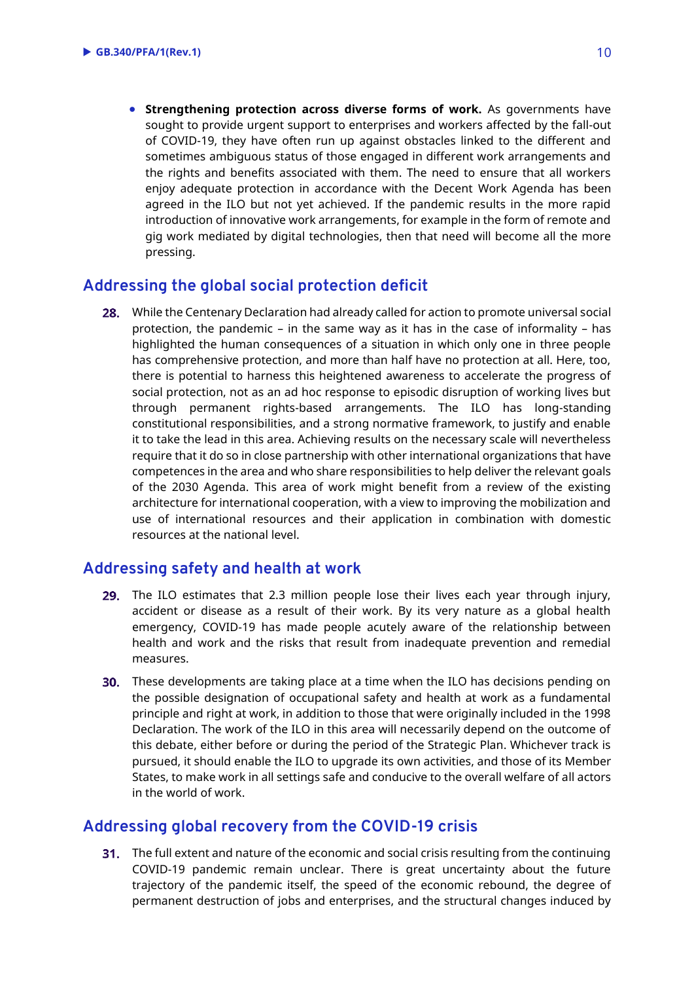**Strengthening protection across diverse forms of work.** As governments have sought to provide urgent support to enterprises and workers affected by the fall-out of COVID-19, they have often run up against obstacles linked to the different and sometimes ambiguous status of those engaged in different work arrangements and the rights and benefits associated with them. The need to ensure that all workers enjoy adequate protection in accordance with the Decent Work Agenda has been agreed in the ILO but not yet achieved. If the pandemic results in the more rapid introduction of innovative work arrangements, for example in the form of remote and gig work mediated by digital technologies, then that need will become all the more pressing.

#### <span id="page-7-0"></span>**Addressing the global social protection deficit**

28. While the Centenary Declaration had already called for action to promote universal social protection, the pandemic – in the same way as it has in the case of informality – has highlighted the human consequences of a situation in which only one in three people has comprehensive protection, and more than half have no protection at all. Here, too, there is potential to harness this heightened awareness to accelerate the progress of social protection, not as an ad hoc response to episodic disruption of working lives but through permanent rights-based arrangements. The ILO has long-standing constitutional responsibilities, and a strong normative framework, to justify and enable it to take the lead in this area. Achieving results on the necessary scale will nevertheless require that it do so in close partnership with other international organizations that have competences in the area and who share responsibilities to help deliver the relevant goals of the 2030 Agenda. This area of work might benefit from a review of the existing architecture for international cooperation, with a view to improving the mobilization and use of international resources and their application in combination with domestic resources at the national level.

#### <span id="page-7-1"></span>**Addressing safety and health at work**

- 29. The ILO estimates that 2.3 million people lose their lives each year through injury, accident or disease as a result of their work. By its very nature as a global health emergency, COVID-19 has made people acutely aware of the relationship between health and work and the risks that result from inadequate prevention and remedial measures.
- **30.** These developments are taking place at a time when the ILO has decisions pending on the possible designation of occupational safety and health at work as a fundamental principle and right at work, in addition to those that were originally included in the 1998 Declaration. The work of the ILO in this area will necessarily depend on the outcome of this debate, either before or during the period of the Strategic Plan. Whichever track is pursued, it should enable the ILO to upgrade its own activities, and those of its Member States, to make work in all settings safe and conducive to the overall welfare of all actors in the world of work.

#### <span id="page-7-2"></span>**Addressing global recovery from the COVID-19 crisis**

**31.** The full extent and nature of the economic and social crisis resulting from the continuing COVID-19 pandemic remain unclear. There is great uncertainty about the future trajectory of the pandemic itself, the speed of the economic rebound, the degree of permanent destruction of jobs and enterprises, and the structural changes induced by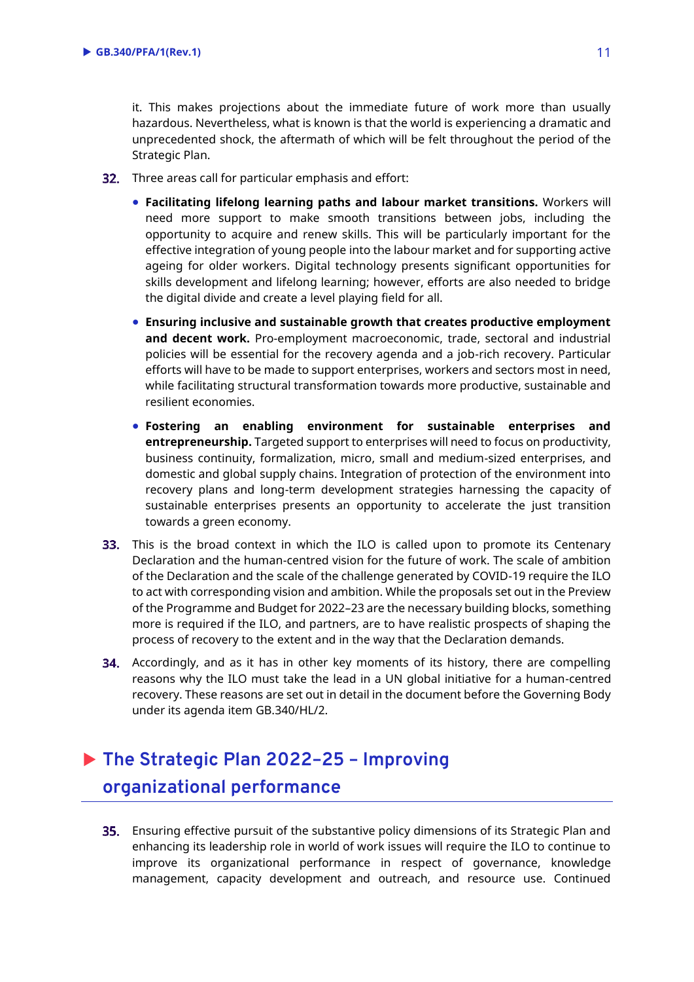it. This makes projections about the immediate future of work more than usually hazardous. Nevertheless, what is known is that the world is experiencing a dramatic and unprecedented shock, the aftermath of which will be felt throughout the period of the Strategic Plan.

- **32.** Three areas call for particular emphasis and effort:
	- **Facilitating lifelong learning paths and labour market transitions.** Workers will need more support to make smooth transitions between jobs, including the opportunity to acquire and renew skills. This will be particularly important for the effective integration of young people into the labour market and for supporting active ageing for older workers. Digital technology presents significant opportunities for skills development and lifelong learning; however, efforts are also needed to bridge the digital divide and create a level playing field for all.
	- **Ensuring inclusive and sustainable growth that creates productive employment and decent work.** Pro-employment macroeconomic, trade, sectoral and industrial policies will be essential for the recovery agenda and a job-rich recovery. Particular efforts will have to be made to support enterprises, workers and sectors most in need, while facilitating structural transformation towards more productive, sustainable and resilient economies.
	- **Fostering an enabling environment for sustainable enterprises and entrepreneurship.** Targeted support to enterprises will need to focus on productivity, business continuity, formalization, micro, small and medium-sized enterprises, and domestic and global supply chains. Integration of protection of the environment into recovery plans and long-term development strategies harnessing the capacity of sustainable enterprises presents an opportunity to accelerate the just transition towards a green economy.
- **33.** This is the broad context in which the ILO is called upon to promote its Centenary Declaration and the human-centred vision for the future of work. The scale of ambition of the Declaration and the scale of the challenge generated by COVID-19 require the ILO to act with corresponding vision and ambition. While the proposals set out in the Preview of the Programme and Budget for 2022–23 are the necessary building blocks, something more is required if the ILO, and partners, are to have realistic prospects of shaping the process of recovery to the extent and in the way that the Declaration demands.
- **34.** Accordingly, and as it has in other key moments of its history, there are compelling reasons why the ILO must take the lead in a UN global initiative for a human-centred recovery. These reasons are set out in detail in the document before the Governing Body under its agenda item GB.340/HL/2.

## <span id="page-8-0"></span> **The Strategic Plan 2022–25 – Improving organizational performance**

**35.** Ensuring effective pursuit of the substantive policy dimensions of its Strategic Plan and enhancing its leadership role in world of work issues will require the ILO to continue to improve its organizational performance in respect of governance, knowledge management, capacity development and outreach, and resource use. Continued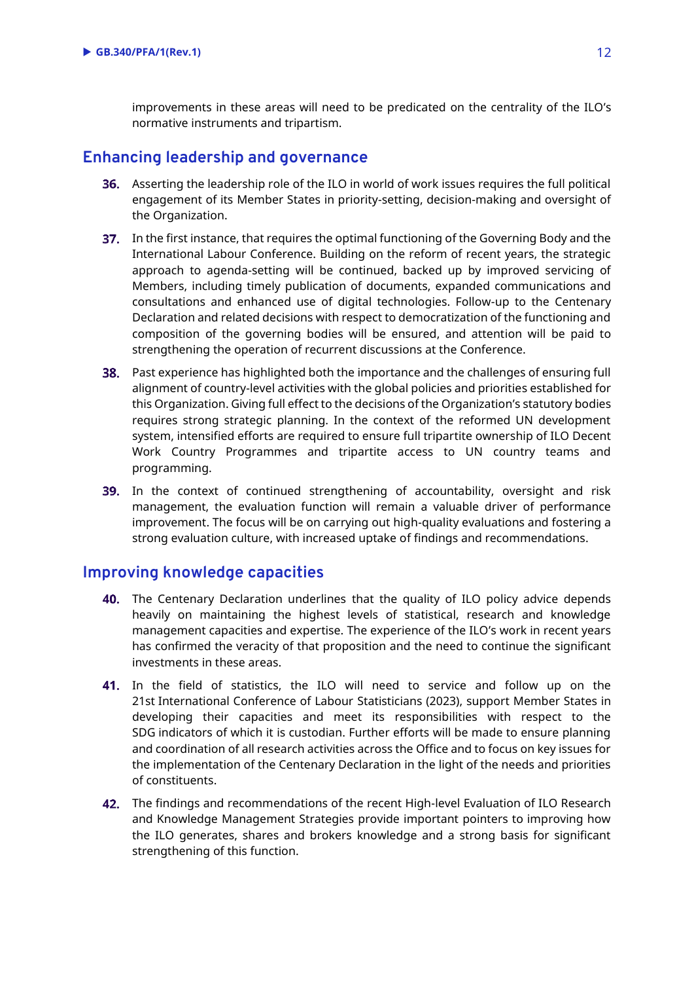improvements in these areas will need to be predicated on the centrality of the ILO's normative instruments and tripartism.

#### <span id="page-9-0"></span>**Enhancing leadership and governance**

- **36.** Asserting the leadership role of the ILO in world of work issues requires the full political engagement of its Member States in priority-setting, decision-making and oversight of the Organization.
- **37.** In the first instance, that requires the optimal functioning of the Governing Body and the International Labour Conference. Building on the reform of recent years, the strategic approach to agenda-setting will be continued, backed up by improved servicing of Members, including timely publication of documents, expanded communications and consultations and enhanced use of digital technologies. Follow-up to the Centenary Declaration and related decisions with respect to democratization of the functioning and composition of the governing bodies will be ensured, and attention will be paid to strengthening the operation of recurrent discussions at the Conference.
- **38.** Past experience has highlighted both the importance and the challenges of ensuring full alignment of country-level activities with the global policies and priorities established for this Organization. Giving full effect to the decisions of the Organization's statutory bodies requires strong strategic planning. In the context of the reformed UN development system, intensified efforts are required to ensure full tripartite ownership of ILO Decent Work Country Programmes and tripartite access to UN country teams and programming.
- 39. In the context of continued strengthening of accountability, oversight and risk management, the evaluation function will remain a valuable driver of performance improvement. The focus will be on carrying out high-quality evaluations and fostering a strong evaluation culture, with increased uptake of findings and recommendations.

#### <span id="page-9-1"></span>**Improving knowledge capacities**

- 40. The Centenary Declaration underlines that the quality of ILO policy advice depends heavily on maintaining the highest levels of statistical, research and knowledge management capacities and expertise. The experience of the ILO's work in recent years has confirmed the veracity of that proposition and the need to continue the significant investments in these areas.
- 41. In the field of statistics, the ILO will need to service and follow up on the 21st International Conference of Labour Statisticians (2023), support Member States in developing their capacities and meet its responsibilities with respect to the SDG indicators of which it is custodian. Further efforts will be made to ensure planning and coordination of all research activities across the Office and to focus on key issues for the implementation of the Centenary Declaration in the light of the needs and priorities of constituents.
- **42.** The findings and recommendations of the recent High-level Evaluation of ILO Research and Knowledge Management Strategies provide important pointers to improving how the ILO generates, shares and brokers knowledge and a strong basis for significant strengthening of this function.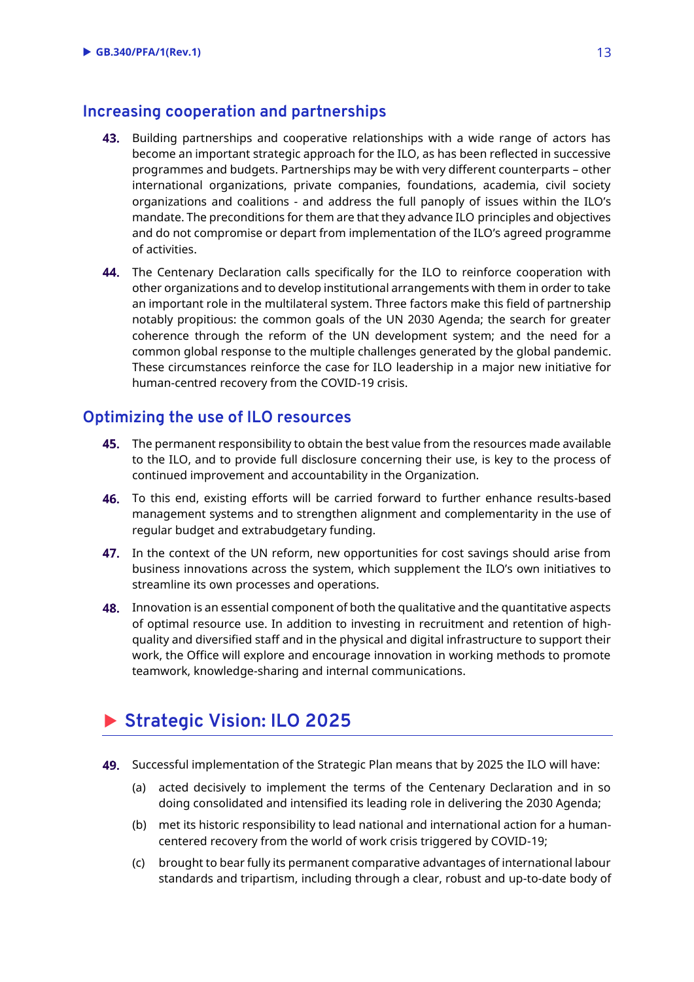#### <span id="page-10-0"></span>**Increasing cooperation and partnerships**

- 43. Building partnerships and cooperative relationships with a wide range of actors has become an important strategic approach for the ILO, as has been reflected in successive programmes and budgets. Partnerships may be with very different counterparts – other international organizations, private companies, foundations, academia, civil society organizations and coalitions - and address the full panoply of issues within the ILO's mandate. The preconditions for them are that they advance ILO principles and objectives and do not compromise or depart from implementation of the ILO's agreed programme of activities.
- 44. The Centenary Declaration calls specifically for the ILO to reinforce cooperation with other organizations and to develop institutional arrangements with them in order to take an important role in the multilateral system. Three factors make this field of partnership notably propitious: the common goals of the UN 2030 Agenda; the search for greater coherence through the reform of the UN development system; and the need for a common global response to the multiple challenges generated by the global pandemic. These circumstances reinforce the case for ILO leadership in a major new initiative for human-centred recovery from the COVID-19 crisis.

#### <span id="page-10-1"></span>**Optimizing the use of ILO resources**

- 45. The permanent responsibility to obtain the best value from the resources made available to the ILO, and to provide full disclosure concerning their use, is key to the process of continued improvement and accountability in the Organization.
- 46. To this end, existing efforts will be carried forward to further enhance results-based management systems and to strengthen alignment and complementarity in the use of regular budget and extrabudgetary funding.
- 47. In the context of the UN reform, new opportunities for cost savings should arise from business innovations across the system, which supplement the ILO's own initiatives to streamline its own processes and operations.
- **48.** Innovation is an essential component of both the qualitative and the quantitative aspects of optimal resource use. In addition to investing in recruitment and retention of highquality and diversified staff and in the physical and digital infrastructure to support their work, the Office will explore and encourage innovation in working methods to promote teamwork, knowledge-sharing and internal communications.

## <span id="page-10-2"></span>**Strategic Vision: ILO 2025**

- **49.** Successful implementation of the Strategic Plan means that by 2025 the ILO will have:
	- (a) acted decisively to implement the terms of the Centenary Declaration and in so doing consolidated and intensified its leading role in delivering the 2030 Agenda;
	- (b) met its historic responsibility to lead national and international action for a humancentered recovery from the world of work crisis triggered by COVID-19;
	- (c) brought to bear fully its permanent comparative advantages of international labour standards and tripartism, including through a clear, robust and up-to-date body of